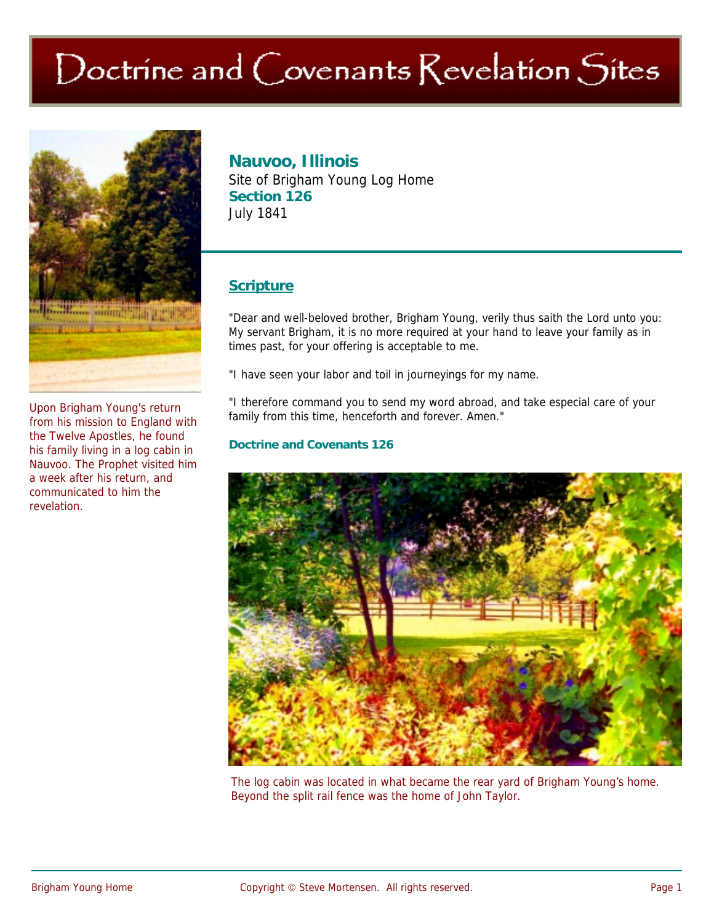# Doctrine and Covenants Revelation Sites



Upon Brigham Young's return from his mission to England with the Twelve Apostles, he found his family living in a log cabin in Nauvoo. The Prophet visited him a week after his return, and communicated to him the revelation.

# **Nauvoo, Illinois**

Site of Brigham Young Log Home **Section 126**  July 1841

## **Scripture**

"Dear and well-beloved brother, Brigham Young, verily thus saith the Lord unto you: My servant Brigham, it is no more required at your hand to leave your family as in times past, for your offering is acceptable to me.

"I have seen your labor and toil in journeyings for my name.

"I therefore command you to send my word abroad, and take especial care of your family from this time, henceforth and forever. Amen."

#### **Doctrine and Covenants 126**



The log cabin was located in what became the rear yard of Brigham Young's home. Beyond the split rail fence was the home of John Taylor.